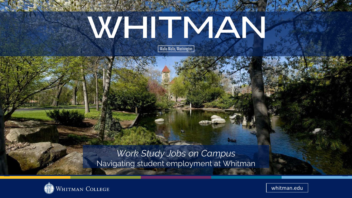# WEIMAN

| Walla Walla, Washington |

*Work Study Jobs on Campus* Navigating student employment at Whitman

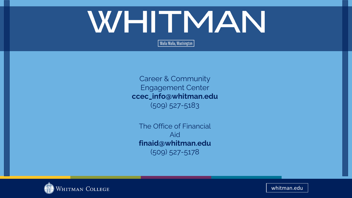# WHITMAN

Walla Walla, Washington

Career & Community Engagement Center **ccec\_info@whitman.edu** (509) 527-5183

The Office of Financial Aid **finaid@whitman.edu** (509) 527-5178

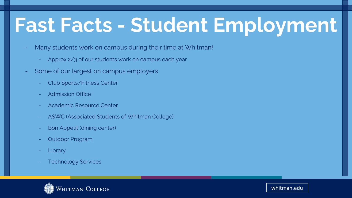## **Fast Facts - Student Employment**

- Many students work on campus during their time at Whitman!
	- Approx 2/3 of our students work on campus each year
- Some of our largest on campus employers
	- Club Sports/Fitness Center
	- Admission Office
	- Academic Resource Center
	- ASWC (Associated Students of Whitman College)
	- Bon Appetit (dining center)
	- Outdoor Program
	- **Library**
	- Technology Services

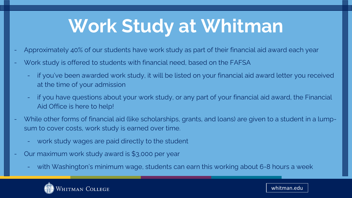### **Work Study at Whitman**

- Approximately 40% of our students have work study as part of their financial aid award each year
- Work study is offered to students with financial need, based on the FAFSA
	- if you've been awarded work study, it will be listed on your financial aid award letter you received at the time of your admission
	- if you have questions about your work study, or any part of your financial aid award, the Financial Aid Office is here to help!
- While other forms of financial aid (like scholarships, grants, and loans) are given to a student in a lumpsum to cover costs, work study is earned over time.
	- work study wages are paid directly to the student
- Our maximum work study award is \$3,000 per year
	- with Washington's minimum wage, students can earn this working about 6-8 hours a week

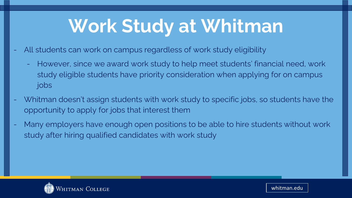### **Work Study at Whitman**

- All students can work on campus regardless of work study eligibility
	- However, since we award work study to help meet students' financial need, work study eligible students have priority consideration when applying for on campus jobs
- Whitman doesn't assign students with work study to specific jobs, so students have the opportunity to apply for jobs that interest them
- Many employers have enough open positions to be able to hire students without work study after hiring qualified candidates with work study

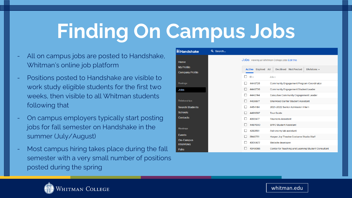## **Finding On Campus Jobs**

- All on campus jobs are posted to Handshake, Whitman's online job platform
- Positions posted to Handshake are visible to work study eligible students for the first two weeks, then visible to all Whitman students following that
- On campus employers typically start posting jobs for fall semester on Handshake in the summer (July/August)
- Most campus hiring takes place during the fall semester with a very small number of positions posted during the spring

| <b>ii</b> Handshake                   | Q Search                                                                               |
|---------------------------------------|----------------------------------------------------------------------------------------|
| Home                                  | JODS viewing all Whitman College jobs Edit this                                        |
| <b>My Profile</b>                     | Divisions $\star$<br><b>Active Expired All</b><br><b>Declined</b><br><b>Not Posted</b> |
| <b>Company Profile</b>                | ID ±<br>$Job \div$                                                                     |
| <b>Postings</b>                       | 4448725<br>Community Engagement Program Coordinator                                    |
| <b>Jobs</b>                           | 4448736<br>Community Engagement Student Leader                                         |
|                                       | 4448744<br><b>Executive Community Engagement Leader</b>                                |
| Relationships                         | <b>Sherwood Center Student Assistant</b><br>4438677                                    |
| <b>Search Students</b>                | 4454184<br>2021-2022 Senior Admission Intern                                           |
| <b>Schools</b>                        | 4499597<br><b>Tour Guide</b>                                                           |
| <b>Contacts</b>                       | 4392477<br><b>Reunions Assistant</b>                                                   |
|                                       | 4487000<br><b>BFFC Student Assistant</b>                                               |
| <b>Meetings</b>                       | 4292581<br>Astronomy lab assistant                                                     |
| <b>Events</b>                         | 3940761<br>Harper Joy Theatre Costume Studio Staff                                     |
| <b>On-Campus</b><br><b>Interviews</b> | 4308472<br>Website developer                                                           |
| <b>Fairs</b>                          | 4348085<br>Center for Teaching and Learning Student Consultant                         |

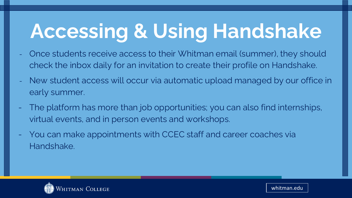## **Accessing & Using Handshake**

- Once students receive access to their Whitman email (summer), they should check the inbox daily for an invitation to create their profile on Handshake.
- New student access will occur via automatic upload managed by our office in early summer.
- The platform has more than job opportunities; you can also find internships, virtual events, and in person events and workshops.
- You can make appointments with CCEC staff and career coaches via Handshake.

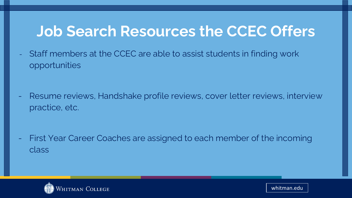#### **Job Search Resources the CCEC Offers**

Staff members at the CCEC are able to assist students in finding work opportunities

Resume reviews, Handshake profile reviews, cover letter reviews, interview practice, etc.

First Year Career Coaches are assigned to each member of the incoming class



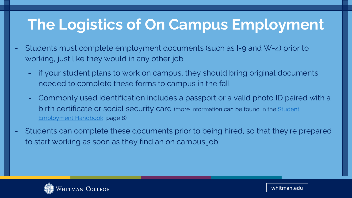#### **The Logistics of On Campus Employment**

- Students must complete employment documents (such as I-9 and W-4) prior to working, just like they would in any other job
	- if your student plans to work on campus, they should bring original documents needed to complete these forms to campus in the fall
	- Commonly used identification includes a passport or a valid photo ID paired with a [birth certificate or social security card](https://www.whitman.edu/documents/Campus-Life/Student-Life/StudentLife/StudentEmployment/Whitman-College-Student-Employment-Handbook.pdf) (more information can be found in the **Student** Employment Handbook, page 8)
- Students can complete these documents prior to being hired, so that they're prepared to start working as soon as they find an on campus job

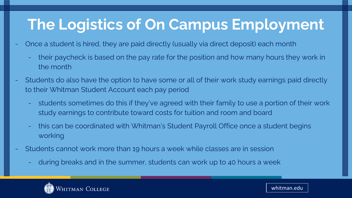#### **The Logistics of On Campus Employment**

- Once a student is hired, they are paid directly (usually via direct deposit) each month
	- their paycheck is based on the pay rate for the position and how many hours they work in the month
- Students do also have the option to have some or all of their work study earnings paid directly to their Whitman Student Account each pay period
	- students sometimes do this if they've agreed with their family to use a portion of their work study earnings to contribute toward costs for tuition and room and board
	- this can be coordinated with Whitman's Student Payroll Office once a student begins working
- Students cannot work more than 19 hours a week while classes are in session
	- during breaks and in the summer, students can work up to 40 hours a week

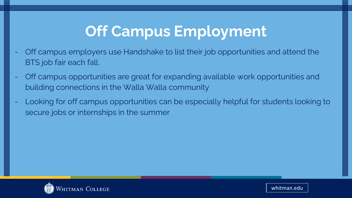#### **Off Campus Employment**

- Off campus employers use Handshake to list their job opportunities and attend the BTS job fair each fall.
- Off campus opportunities are great for expanding available work opportunities and building connections in the Walla Walla community
- Looking for off campus opportunities can be especially helpful for students looking to secure jobs or internships in the summer